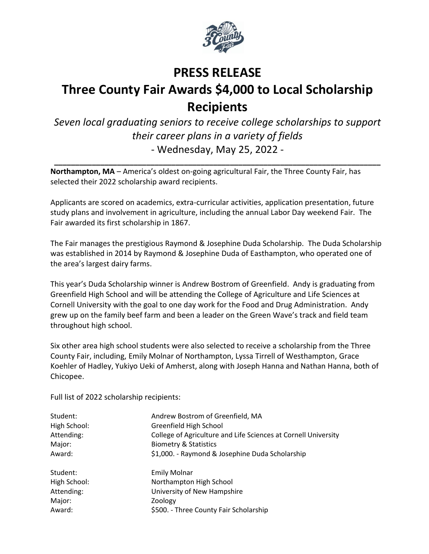

## **PRESS RELEASE Three County Fair Awards \$4,000 to Local Scholarship Recipients**

*Seven local graduating seniors to receive college scholarships to support their career plans in a variety of fields* - Wednesday, May 25, 2022 -

**\_\_\_\_\_\_\_\_\_\_\_\_\_\_\_\_\_\_\_\_\_\_\_\_\_\_\_\_\_\_\_\_\_\_\_\_\_\_\_\_\_\_\_\_\_\_\_\_\_\_\_\_\_\_\_\_\_\_\_\_\_\_\_\_\_\_\_\_\_\_\_\_\_\_\_\_\_\_**

**Northampton, MA** – America's oldest on-going agricultural Fair, the Three County Fair, has selected their 2022 scholarship award recipients.

Applicants are scored on academics, extra-curricular activities, application presentation, future study plans and involvement in agriculture, including the annual Labor Day weekend Fair. The Fair awarded its first scholarship in 1867.

The Fair manages the prestigious Raymond & Josephine Duda Scholarship. The Duda Scholarship was established in 2014 by Raymond & Josephine Duda of Easthampton, who operated one of the area's largest dairy farms.

This year's Duda Scholarship winner is Andrew Bostrom of Greenfield. Andy is graduating from Greenfield High School and will be attending the College of Agriculture and Life Sciences at Cornell University with the goal to one day work for the Food and Drug Administration. Andy grew up on the family beef farm and been a leader on the Green Wave's track and field team throughout high school.

Six other area high school students were also selected to receive a scholarship from the Three County Fair, including, Emily Molnar of Northampton, Lyssa Tirrell of Westhampton, Grace Koehler of Hadley, Yukiyo Ueki of Amherst, along with Joseph Hanna and Nathan Hanna, both of Chicopee.

Full list of 2022 scholarship recipients:

| Student:     | Andrew Bostrom of Greenfield, MA                               |
|--------------|----------------------------------------------------------------|
| High School: | Greenfield High School                                         |
| Attending:   | College of Agriculture and Life Sciences at Cornell University |
| Major:       | <b>Biometry &amp; Statistics</b>                               |
| Award:       | \$1,000. - Raymond & Josephine Duda Scholarship                |
| Student:     | <b>Emily Molnar</b>                                            |
| High School: | Northampton High School                                        |
| Attending:   | University of New Hampshire                                    |
| Major:       | Zoology                                                        |
| Award:       | \$500. - Three County Fair Scholarship                         |